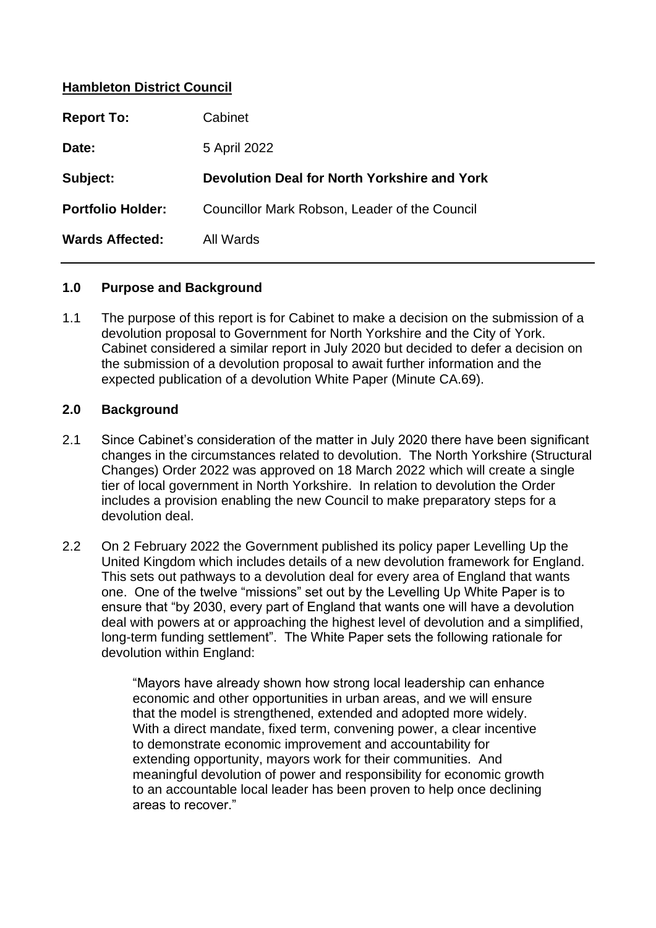### **Hambleton District Council**

| <b>Report To:</b>        | Cabinet                                       |
|--------------------------|-----------------------------------------------|
| Date:                    | 5 April 2022                                  |
| Subject:                 | Devolution Deal for North Yorkshire and York  |
| <b>Portfolio Holder:</b> | Councillor Mark Robson, Leader of the Council |
| <b>Wards Affected:</b>   | All Wards                                     |

### **1.0 Purpose and Background**

1.1 The purpose of this report is for Cabinet to make a decision on the submission of a devolution proposal to Government for North Yorkshire and the City of York. Cabinet considered a similar report in July 2020 but decided to defer a decision on the submission of a devolution proposal to await further information and the expected publication of a devolution White Paper (Minute CA.69).

#### **2.0 Background**

- 2.1 Since Cabinet's consideration of the matter in July 2020 there have been significant changes in the circumstances related to devolution. The North Yorkshire (Structural Changes) Order 2022 was approved on 18 March 2022 which will create a single tier of local government in North Yorkshire. In relation to devolution the Order includes a provision enabling the new Council to make preparatory steps for a devolution deal.
- 2.2 On 2 February 2022 the Government published its policy paper Levelling Up the United Kingdom which includes details of a new devolution framework for England. This sets out pathways to a devolution deal for every area of England that wants one. One of the twelve "missions" set out by the Levelling Up White Paper is to ensure that "by 2030, every part of England that wants one will have a devolution deal with powers at or approaching the highest level of devolution and a simplified, long-term funding settlement". The White Paper sets the following rationale for devolution within England:

"Mayors have already shown how strong local leadership can enhance economic and other opportunities in urban areas, and we will ensure that the model is strengthened, extended and adopted more widely. With a direct mandate, fixed term, convening power, a clear incentive to demonstrate economic improvement and accountability for extending opportunity, mayors work for their communities. And meaningful devolution of power and responsibility for economic growth to an accountable local leader has been proven to help once declining areas to recover."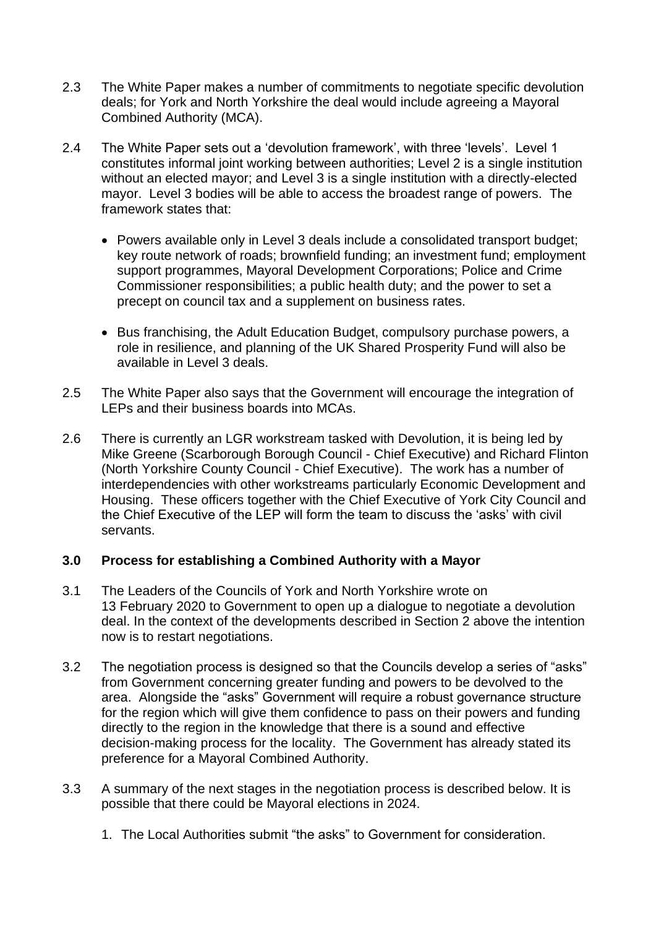- 2.3 The White Paper makes a number of commitments to negotiate specific devolution deals; for York and North Yorkshire the deal would include agreeing a Mayoral Combined Authority (MCA).
- 2.4 The White Paper sets out a 'devolution framework', with three 'levels'. Level 1 constitutes informal joint working between authorities; Level 2 is a single institution without an elected mayor; and Level 3 is a single institution with a directly-elected mayor. Level 3 bodies will be able to access the broadest range of powers. The framework states that:
	- Powers available only in Level 3 deals include a consolidated transport budget; key route network of roads; brownfield funding; an investment fund; employment support programmes, Mayoral Development Corporations; Police and Crime Commissioner responsibilities; a public health duty; and the power to set a precept on council tax and a supplement on business rates.
	- Bus franchising, the Adult Education Budget, compulsory purchase powers, a role in resilience, and planning of the UK Shared Prosperity Fund will also be available in Level 3 deals.
- 2.5 The White Paper also says that the Government will encourage the integration of LEPs and their business boards into MCAs.
- 2.6 There is currently an LGR workstream tasked with Devolution, it is being led by Mike Greene (Scarborough Borough Council - Chief Executive) and Richard Flinton (North Yorkshire County Council - Chief Executive). The work has a number of interdependencies with other workstreams particularly Economic Development and Housing. These officers together with the Chief Executive of York City Council and the Chief Executive of the LEP will form the team to discuss the 'asks' with civil servants.

### **3.0 Process for establishing a Combined Authority with a Mayor**

- 3.1 The Leaders of the Councils of York and North Yorkshire wrote on 13 February 2020 to Government to open up a dialogue to negotiate a devolution deal. In the context of the developments described in Section 2 above the intention now is to restart negotiations.
- 3.2 The negotiation process is designed so that the Councils develop a series of "asks" from Government concerning greater funding and powers to be devolved to the area. Alongside the "asks" Government will require a robust governance structure for the region which will give them confidence to pass on their powers and funding directly to the region in the knowledge that there is a sound and effective decision-making process for the locality. The Government has already stated its preference for a Mayoral Combined Authority.
- 3.3 A summary of the next stages in the negotiation process is described below. It is possible that there could be Mayoral elections in 2024.
	- 1. The Local Authorities submit "the asks" to Government for consideration.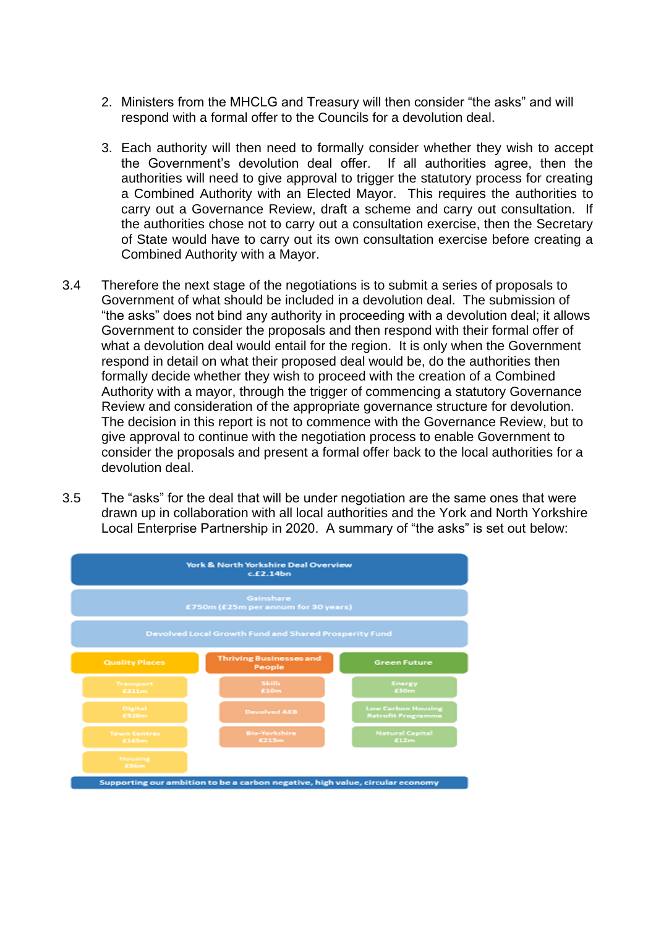- 2. Ministers from the MHCLG and Treasury will then consider "the asks" and will respond with a formal offer to the Councils for a devolution deal.
- 3. Each authority will then need to formally consider whether they wish to accept the Government's devolution deal offer. If all authorities agree, then the authorities will need to give approval to trigger the statutory process for creating a Combined Authority with an Elected Mayor. This requires the authorities to carry out a Governance Review, draft a scheme and carry out consultation. If the authorities chose not to carry out a consultation exercise, then the Secretary of State would have to carry out its own consultation exercise before creating a Combined Authority with a Mayor.
- 3.4 Therefore the next stage of the negotiations is to submit a series of proposals to Government of what should be included in a devolution deal. The submission of "the asks" does not bind any authority in proceeding with a devolution deal; it allows Government to consider the proposals and then respond with their formal offer of what a devolution deal would entail for the region. It is only when the Government respond in detail on what their proposed deal would be, do the authorities then formally decide whether they wish to proceed with the creation of a Combined Authority with a mayor, through the trigger of commencing a statutory Governance Review and consideration of the appropriate governance structure for devolution. The decision in this report is not to commence with the Governance Review, but to give approval to continue with the negotiation process to enable Government to consider the proposals and present a formal offer back to the local authorities for a devolution deal.
- 3.5 The "asks" for the deal that will be under negotiation are the same ones that were drawn up in collaboration with all local authorities and the York and North Yorkshire Local Enterprise Partnership in 2020. A summary of "the asks" is set out below:

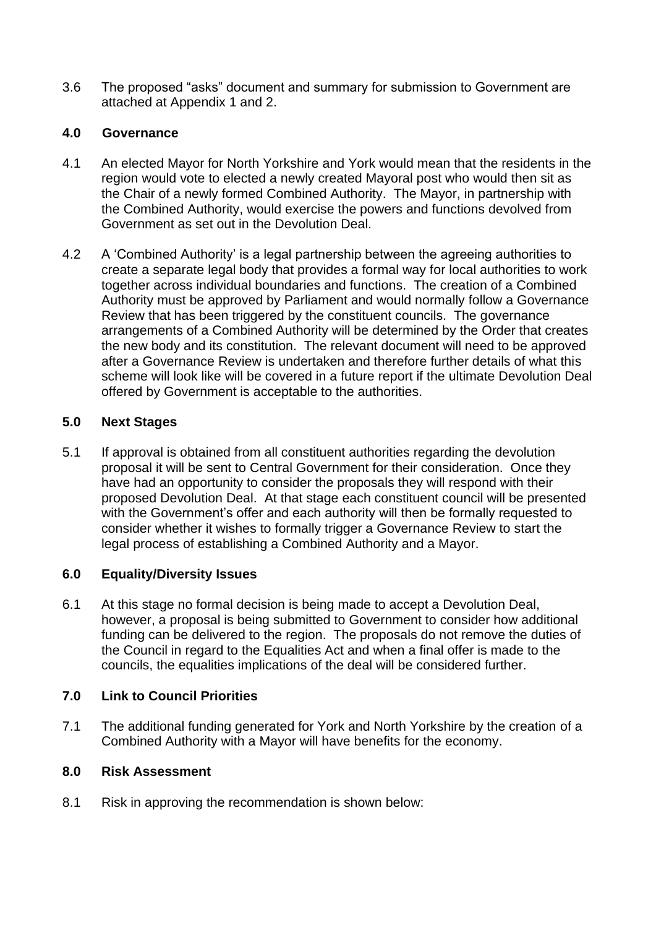3.6 The proposed "asks" document and summary for submission to Government are attached at Appendix 1 and 2.

## **4.0 Governance**

- 4.1 An elected Mayor for North Yorkshire and York would mean that the residents in the region would vote to elected a newly created Mayoral post who would then sit as the Chair of a newly formed Combined Authority. The Mayor, in partnership with the Combined Authority, would exercise the powers and functions devolved from Government as set out in the Devolution Deal.
- 4.2 A 'Combined Authority' is a legal partnership between the agreeing authorities to create a separate legal body that provides a formal way for local authorities to work together across individual boundaries and functions. The creation of a Combined Authority must be approved by Parliament and would normally follow a Governance Review that has been triggered by the constituent councils. The governance arrangements of a Combined Authority will be determined by the Order that creates the new body and its constitution. The relevant document will need to be approved after a Governance Review is undertaken and therefore further details of what this scheme will look like will be covered in a future report if the ultimate Devolution Deal offered by Government is acceptable to the authorities.

# **5.0 Next Stages**

5.1 If approval is obtained from all constituent authorities regarding the devolution proposal it will be sent to Central Government for their consideration. Once they have had an opportunity to consider the proposals they will respond with their proposed Devolution Deal. At that stage each constituent council will be presented with the Government's offer and each authority will then be formally requested to consider whether it wishes to formally trigger a Governance Review to start the legal process of establishing a Combined Authority and a Mayor.

# **6.0 Equality/Diversity Issues**

6.1 At this stage no formal decision is being made to accept a Devolution Deal, however, a proposal is being submitted to Government to consider how additional funding can be delivered to the region. The proposals do not remove the duties of the Council in regard to the Equalities Act and when a final offer is made to the councils, the equalities implications of the deal will be considered further.

## **7.0 Link to Council Priorities**

7.1 The additional funding generated for York and North Yorkshire by the creation of a Combined Authority with a Mayor will have benefits for the economy.

## **8.0 Risk Assessment**

8.1 Risk in approving the recommendation is shown below: